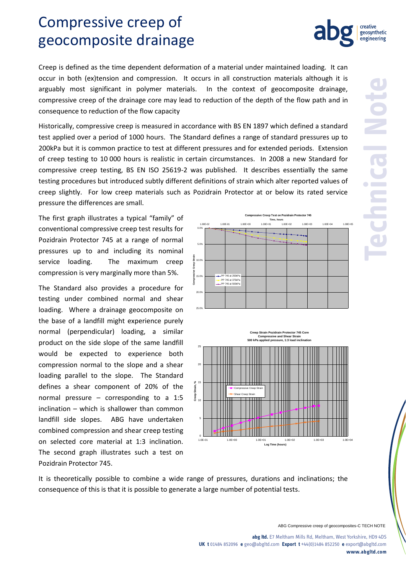## Compressive creep of geocomposite drainage

Creep is defined as the time dependent deformation of a material under maintained loading. It can occur in both (ex)tension and compression. It occurs in all construction materials although it is arguably most significant in polymer materials. In the context of geocomposite drainage, compressive creep of the drainage core may lead to reduction of the depth of the flow path and in consequence to reduction of the flow capacity

Historically, compressive creep is measured in accordance with BS EN 1897 which defined a standard test applied over a period of 1000 hours. The Standard defines a range of standard pressures up to 200kPa but it is common practice to test at different pressures and for extended periods. Extension of creep testing to 10 000 hours is realistic in certain circumstances. In 2008 a new Standard for compressive creep testing, BS EN ISO 25619-2 was published. It describes essentially the same testing procedures but introduced subtly different definitions of strain which alter reported values of creep slightly. For low creep materials such as Pozidrain Protector at or below its rated service pressure the differences are small.

The first graph illustrates a typical "family" of conventional compressive creep test results for Pozidrain Protector 745 at a range of normal pressures up to and including its nominal service loading. The maximum creep compression is very marginally more than 5%.

The Standard also provides a procedure for testing under combined normal and shear loading. Where a drainage geocomposite on the base of a landfill might experience purely normal (perpendicular) loading, a similar product on the side slope of the same landfill would be expected to experience both compression normal to the slope and a shear loading parallel to the slope. The Standard defines a shear component of 20% of the normal pressure – corresponding to a 1:5 inclination – which is shallower than common landfill side slopes. ABG have undertaken combined compression and shear creep testing on selected core material at 1:3 inclination. The second graph illustrates such a test on Pozidrain Protector 745.

It is theoretically possible to combine a wide range of pressures, durations and inclinations; the consequence of this is that it is possible to generate a large number of potential tests.

 $^{\circ}$ 

5

10 **Creep Strain, %** 15

 $20$ 

 $25<sub>1</sub>$ 

ABG Compressive creep of geocomposites-C TECH NOTE

**abg ltd.** E7 Meltham Mills Rd, Meltham, West Yorkshire, HD9 4DS **UK t** 01484 852096 **e** geo@abgltd.com **Export t** +44(0)1484 852250 **e** export@abgltd.com **www.abgltd.com**



**Creep Strain Poz** 

Compressive Creep Strain Shear Creep Strain

**Compressive and Shear Strain 500 kPa applied pressure, 1:3 load inclination**

1.0E-01 1.0E+00 1.0E+01 1.0E+02 1.0E+03 1.0E+04 **Log Time (hours)**